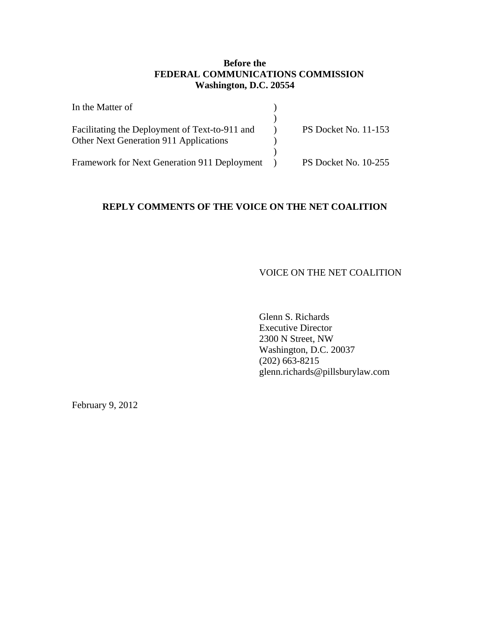# **Before the FEDERAL COMMUNICATIONS COMMISSION Washington, D.C. 20554**

| In the Matter of                               |                             |
|------------------------------------------------|-----------------------------|
|                                                |                             |
| Facilitating the Deployment of Text-to-911 and | <b>PS Docket No. 11-153</b> |
| Other Next Generation 911 Applications         |                             |
|                                                |                             |
| Framework for Next Generation 911 Deployment   | PS Docket No. 10-255        |

# **REPLY COMMENTS OF THE VOICE ON THE NET COALITION**

### VOICE ON THE NET COALITION

Glenn S. Richards Executive Director 2300 N Street, NW Washington, D.C. 20037 (202) 663-8215 glenn.richards@pillsburylaw.com

February 9, 2012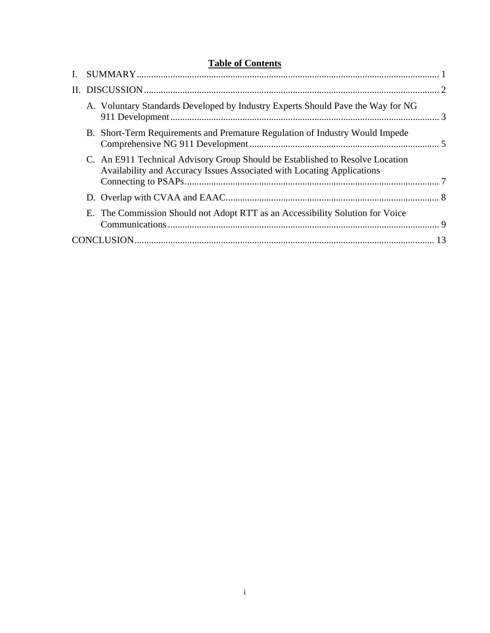|  | <b>Table of Contents</b>                                                                                                                                |  |
|--|---------------------------------------------------------------------------------------------------------------------------------------------------------|--|
|  |                                                                                                                                                         |  |
|  |                                                                                                                                                         |  |
|  | A. Voluntary Standards Developed by Industry Experts Should Pave the Way for NG                                                                         |  |
|  | B. Short-Term Requirements and Premature Regulation of Industry Would Impede                                                                            |  |
|  | C. An E911 Technical Advisory Group Should be Established to Resolve Location<br>Availability and Accuracy Issues Associated with Locating Applications |  |
|  |                                                                                                                                                         |  |
|  | E. The Commission Should not Adopt RTT as an Accessibility Solution for Voice                                                                           |  |
|  |                                                                                                                                                         |  |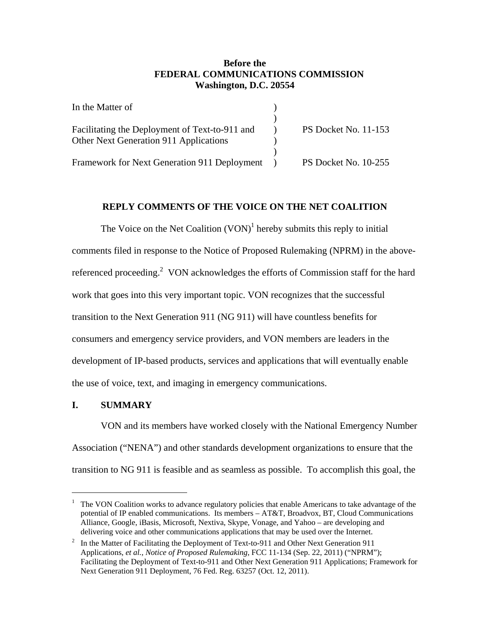# **Before the FEDERAL COMMUNICATIONS COMMISSION Washington, D.C. 20554**

| In the Matter of                               |                             |
|------------------------------------------------|-----------------------------|
|                                                |                             |
| Facilitating the Deployment of Text-to-911 and | <b>PS Docket No. 11-153</b> |
| Other Next Generation 911 Applications         |                             |
|                                                |                             |
| Framework for Next Generation 911 Deployment   | PS Docket No. 10-255        |

# **REPLY COMMENTS OF THE VOICE ON THE NET COALITION**

The Voice on the Net Coalition  $(VON)^1$  hereby submits this reply to initial comments filed in response to the Notice of Proposed Rulemaking (NPRM) in the abovereferenced proceeding.<sup>2</sup> VON acknowledges the efforts of Commission staff for the hard work that goes into this very important topic. VON recognizes that the successful transition to the Next Generation 911 (NG 911) will have countless benefits for consumers and emergency service providers, and VON members are leaders in the development of IP-based products, services and applications that will eventually enable the use of voice, text, and imaging in emergency communications.

## **I. SUMMARY**

1

VON and its members have worked closely with the National Emergency Number Association ("NENA") and other standards development organizations to ensure that the transition to NG 911 is feasible and as seamless as possible. To accomplish this goal, the

<sup>&</sup>lt;sup>1</sup> The VON Coalition works to advance regulatory policies that enable Americans to take advantage of the potential of IP enabled communications. Its members – AT&T, Broadvox, BT, Cloud Communications Alliance, Google, iBasis, Microsoft, Nextiva, Skype, Vonage, and Yahoo – are developing and delivering voice and other communications applications that may be used over the Internet.<br><sup>2</sup> In the Matter of Eacilitating the Deployment of Text-to-911 and Other Next Generation 911

In the Matter of Facilitating the Deployment of Text-to-911 and Other Next Generation 911 Applications, *et al.*, *Notice of Proposed Rulemaking*, FCC 11-134 (Sep. 22, 2011) ("NPRM"); Facilitating the Deployment of Text-to-911 and Other Next Generation 911 Applications; Framework for Next Generation 911 Deployment, 76 Fed. Reg. 63257 (Oct. 12, 2011).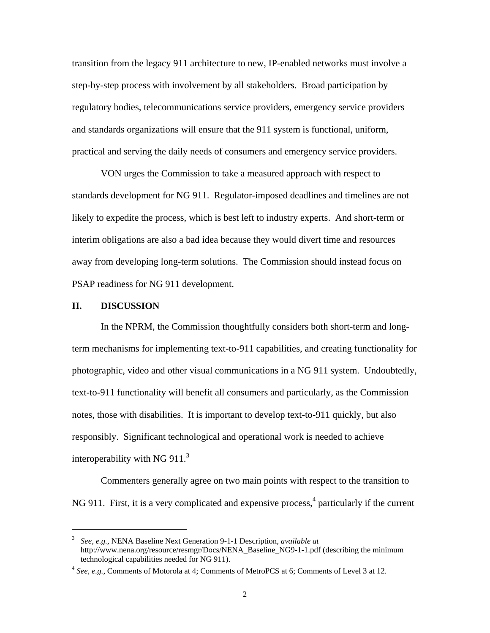transition from the legacy 911 architecture to new, IP-enabled networks must involve a step-by-step process with involvement by all stakeholders. Broad participation by regulatory bodies, telecommunications service providers, emergency service providers and standards organizations will ensure that the 911 system is functional, uniform, practical and serving the daily needs of consumers and emergency service providers.

 VON urges the Commission to take a measured approach with respect to standards development for NG 911. Regulator-imposed deadlines and timelines are not likely to expedite the process, which is best left to industry experts. And short-term or interim obligations are also a bad idea because they would divert time and resources away from developing long-term solutions. The Commission should instead focus on PSAP readiness for NG 911 development.

#### **II. DISCUSSION**

 $\overline{a}$ 

In the NPRM, the Commission thoughtfully considers both short-term and longterm mechanisms for implementing text-to-911 capabilities, and creating functionality for photographic, video and other visual communications in a NG 911 system. Undoubtedly, text-to-911 functionality will benefit all consumers and particularly, as the Commission notes, those with disabilities. It is important to develop text-to-911 quickly, but also responsibly. Significant technological and operational work is needed to achieve interoperability with NG  $911<sup>3</sup>$ 

Commenters generally agree on two main points with respect to the transition to NG 911. First, it is a very complicated and expensive process,<sup>4</sup> particularly if the current

<sup>3</sup> *See, e.g.,* NENA Baseline Next Generation 9-1-1 Description, *available at*  http://www.nena.org/resource/resmgr/Docs/NENA\_Baseline\_NG9-1-1.pdf (describing the minimum technological capabilities needed for NG 911). 4 *See, e.g.*, Comments of Motorola at 4; Comments of MetroPCS at 6; Comments of Level 3 at 12.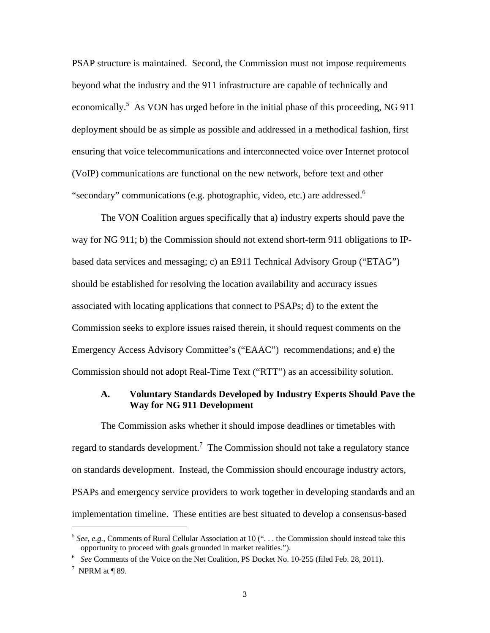PSAP structure is maintained. Second, the Commission must not impose requirements beyond what the industry and the 911 infrastructure are capable of technically and economically.<sup>5</sup> As VON has urged before in the initial phase of this proceeding, NG 911 deployment should be as simple as possible and addressed in a methodical fashion, first ensuring that voice telecommunications and interconnected voice over Internet protocol (VoIP) communications are functional on the new network, before text and other "secondary" communications (e.g. photographic, video, etc.) are addressed.<sup>6</sup>

The VON Coalition argues specifically that a) industry experts should pave the way for NG 911; b) the Commission should not extend short-term 911 obligations to IPbased data services and messaging; c) an E911 Technical Advisory Group ("ETAG") should be established for resolving the location availability and accuracy issues associated with locating applications that connect to PSAPs; d) to the extent the Commission seeks to explore issues raised therein, it should request comments on the Emergency Access Advisory Committee's ("EAAC") recommendations; and e) the Commission should not adopt Real-Time Text ("RTT") as an accessibility solution.

## **A. Voluntary Standards Developed by Industry Experts Should Pave the Way for NG 911 Development**

The Commission asks whether it should impose deadlines or timetables with regard to standards development.<sup>7</sup> The Commission should not take a regulatory stance on standards development. Instead, the Commission should encourage industry actors, PSAPs and emergency service providers to work together in developing standards and an implementation timeline. These entities are best situated to develop a consensus-based

<u>.</u>

<sup>&</sup>lt;sup>5</sup> *See, e.g.*, Comments of Rural Cellular Association at 10 ("... the Commission should instead take this opportunity to proceed with goals grounded in market realities.").

<sup>&</sup>lt;sup>6</sup> See Comments of the Voice on the Net Coalition, PS Docket No. 10-255 (filed Feb. 28, 2011).

 $7$  NPRM at ¶ 89.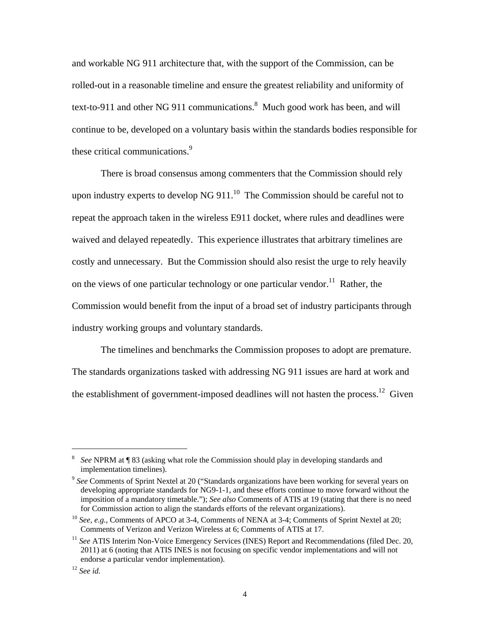and workable NG 911 architecture that, with the support of the Commission, can be rolled-out in a reasonable timeline and ensure the greatest reliability and uniformity of text-to-911 and other NG 911 communications.<sup>8</sup> Much good work has been, and will continue to be, developed on a voluntary basis within the standards bodies responsible for these critical communications.<sup>9</sup>

There is broad consensus among commenters that the Commission should rely upon industry experts to develop NG 911. $^{10}$  The Commission should be careful not to repeat the approach taken in the wireless E911 docket, where rules and deadlines were waived and delayed repeatedly. This experience illustrates that arbitrary timelines are costly and unnecessary. But the Commission should also resist the urge to rely heavily on the views of one particular technology or one particular vendor.<sup>11</sup> Rather, the Commission would benefit from the input of a broad set of industry participants through industry working groups and voluntary standards.

The timelines and benchmarks the Commission proposes to adopt are premature. The standards organizations tasked with addressing NG 911 issues are hard at work and the establishment of government-imposed deadlines will not hasten the process.<sup>12</sup> Given

<sup>8</sup> *See* NPRM at ¶ 83 (asking what role the Commission should play in developing standards and implementation timelines). 9 *See* Comments of Sprint Nextel at 20 ("Standards organizations have been working for several years on

developing appropriate standards for NG9-1-1, and these efforts continue to move forward without the imposition of a mandatory timetable."); *See also* Comments of ATIS at 19 (stating that there is no need for Commission action to align the standards efforts of the relevant organizations).

<sup>&</sup>lt;sup>10</sup> See, e.g., Comments of APCO at 3-4, Comments of NENA at 3-4; Comments of Sprint Nextel at 20; Comments of Verizon and Verizon Wireless at 6; Comments of ATIS at 17. 11 *See* ATIS Interim Non-Voice Emergency Services (INES) Report and Recommendations (filed Dec. 20,

<sup>2011)</sup> at 6 (noting that ATIS INES is not focusing on specific vendor implementations and will not endorse a particular vendor implementation). 12 *See id.*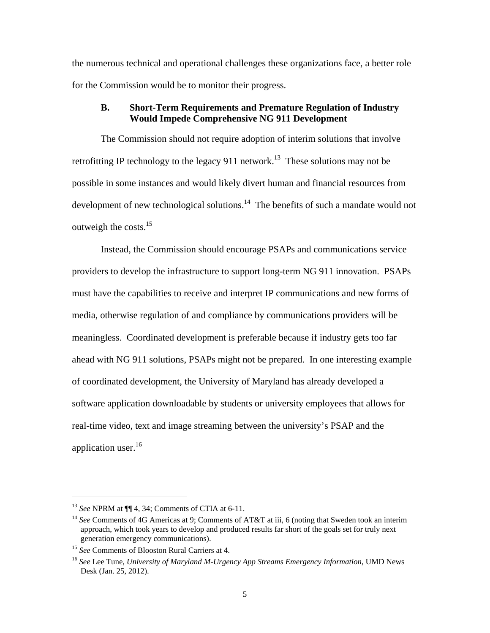the numerous technical and operational challenges these organizations face, a better role for the Commission would be to monitor their progress.

# **B. Short-Term Requirements and Premature Regulation of Industry Would Impede Comprehensive NG 911 Development**

The Commission should not require adoption of interim solutions that involve retrofitting IP technology to the legacy 911 network.<sup>13</sup> These solutions may not be possible in some instances and would likely divert human and financial resources from development of new technological solutions. $14$  The benefits of such a mandate would not outweigh the costs.<sup>15</sup>

Instead, the Commission should encourage PSAPs and communications service providers to develop the infrastructure to support long-term NG 911 innovation. PSAPs must have the capabilities to receive and interpret IP communications and new forms of media, otherwise regulation of and compliance by communications providers will be meaningless. Coordinated development is preferable because if industry gets too far ahead with NG 911 solutions, PSAPs might not be prepared. In one interesting example of coordinated development, the University of Maryland has already developed a software application downloadable by students or university employees that allows for real-time video, text and image streaming between the university's PSAP and the application user.<sup>16</sup>

<sup>&</sup>lt;sup>13</sup> *See* NPRM at  $\P$  4, 34; Comments of CTIA at 6-11.<br><sup>14</sup> *See* Comments of 4G Americas at 9; Comments of AT&T at iii, 6 (noting that Sweden took an interim approach, which took years to develop and produced results far short of the goals set for truly next generation emergency communications).

<sup>&</sup>lt;sup>15</sup> *See* Comments of Blooston Rural Carriers at 4.<br><sup>16</sup> *See* Lee Tune, *University of Maryland M-Urgency App Streams Emergency Information*, UMD News Desk (Jan. 25, 2012).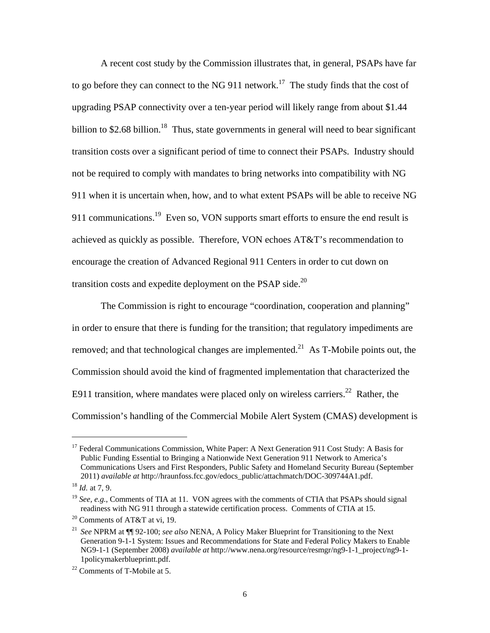A recent cost study by the Commission illustrates that, in general, PSAPs have far to go before they can connect to the NG 911 network.<sup>17</sup> The study finds that the cost of upgrading PSAP connectivity over a ten-year period will likely range from about \$1.44 billion to \$2.68 billion.<sup>18</sup> Thus, state governments in general will need to bear significant transition costs over a significant period of time to connect their PSAPs. Industry should not be required to comply with mandates to bring networks into compatibility with NG 911 when it is uncertain when, how, and to what extent PSAPs will be able to receive NG 911 communications.<sup>19</sup> Even so, VON supports smart efforts to ensure the end result is achieved as quickly as possible. Therefore, VON echoes AT&T's recommendation to encourage the creation of Advanced Regional 911 Centers in order to cut down on transition costs and expedite deployment on the PSAP side.<sup>20</sup>

The Commission is right to encourage "coordination, cooperation and planning" in order to ensure that there is funding for the transition; that regulatory impediments are removed; and that technological changes are implemented.<sup>21</sup> As T-Mobile points out, the Commission should avoid the kind of fragmented implementation that characterized the E911 transition, where mandates were placed only on wireless carriers.<sup>22</sup> Rather, the Commission's handling of the Commercial Mobile Alert System (CMAS) development is

<sup>&</sup>lt;sup>17</sup> Federal Communications Commission, White Paper: A Next Generation 911 Cost Study: A Basis for Public Funding Essential to Bringing a Nationwide Next Generation 911 Network to America's Communications Users and First Responders, Public Safety and Homeland Security Bureau (September 2011) *available at* http://hraunfoss.fcc.gov/edocs\_public/attachmatch/DOC-309744A1.pdf.

<sup>18</sup> *Id.* at 7, 9.

<sup>&</sup>lt;sup>19</sup> *See, e.g.*, Comments of TIA at 11. VON agrees with the comments of CTIA that PSAPs should signal readiness with NG 911 through a statewide certification process. Comments of CTIA at 15.

<sup>20</sup> Comments of AT&T at vi, 19.

<sup>21</sup> *See* NPRM at ¶¶ 92-100; *see also* NENA, A Policy Maker Blueprint for Transitioning to the Next Generation 9-1-1 System: Issues and Recommendations for State and Federal Policy Makers to Enable NG9-1-1 (September 2008) *available at* http://www.nena.org/resource/resmgr/ng9-1-1\_project/ng9-1- 1policymakerblueprintt.pdf. 22 Comments of T-Mobile at 5.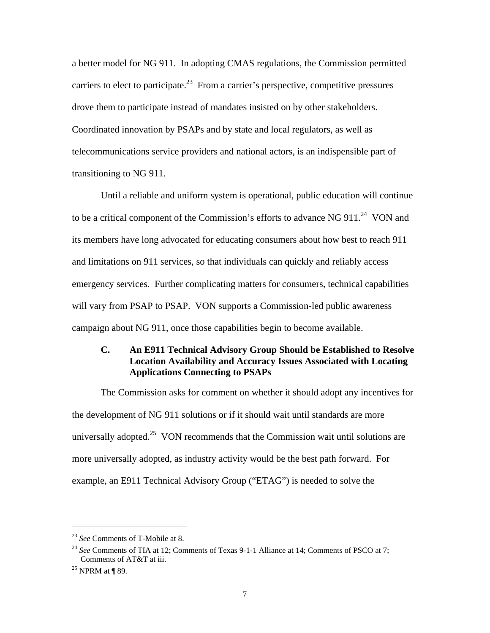a better model for NG 911. In adopting CMAS regulations, the Commission permitted carriers to elect to participate.<sup>23</sup> From a carrier's perspective, competitive pressures drove them to participate instead of mandates insisted on by other stakeholders. Coordinated innovation by PSAPs and by state and local regulators, as well as telecommunications service providers and national actors, is an indispensible part of transitioning to NG 911.

Until a reliable and uniform system is operational, public education will continue to be a critical component of the Commission's efforts to advance NG  $911.^{24}$  VON and its members have long advocated for educating consumers about how best to reach 911 and limitations on 911 services, so that individuals can quickly and reliably access emergency services. Further complicating matters for consumers, technical capabilities will vary from PSAP to PSAP. VON supports a Commission-led public awareness campaign about NG 911, once those capabilities begin to become available.

# **C. An E911 Technical Advisory Group Should be Established to Resolve Location Availability and Accuracy Issues Associated with Locating Applications Connecting to PSAPs**

The Commission asks for comment on whether it should adopt any incentives for the development of NG 911 solutions or if it should wait until standards are more universally adopted.<sup>25</sup> VON recommends that the Commission wait until solutions are more universally adopted, as industry activity would be the best path forward. For example, an E911 Technical Advisory Group ("ETAG") is needed to solve the

<sup>23</sup> *See* Comments of T-Mobile at 8.

<sup>&</sup>lt;sup>24</sup> See Comments of TIA at 12; Comments of Texas 9-1-1 Alliance at 14; Comments of PSCO at 7; Comments of AT&T at iii.<br><sup>25</sup> NPRM at ¶ 89.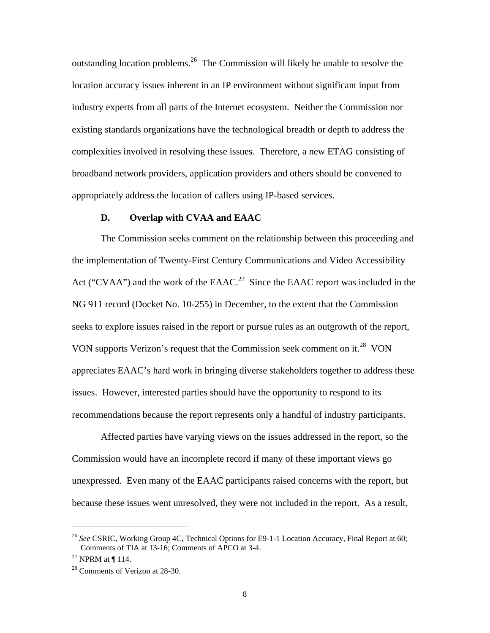outstanding location problems.<sup>26</sup> The Commission will likely be unable to resolve the location accuracy issues inherent in an IP environment without significant input from industry experts from all parts of the Internet ecosystem. Neither the Commission nor existing standards organizations have the technological breadth or depth to address the complexities involved in resolving these issues. Therefore, a new ETAG consisting of broadband network providers, application providers and others should be convened to appropriately address the location of callers using IP-based services.

#### **D. Overlap with CVAA and EAAC**

The Commission seeks comment on the relationship between this proceeding and the implementation of Twenty-First Century Communications and Video Accessibility Act ("CVAA") and the work of the EAAC.<sup>27</sup> Since the EAAC report was included in the NG 911 record (Docket No. 10-255) in December, to the extent that the Commission seeks to explore issues raised in the report or pursue rules as an outgrowth of the report, VON supports Verizon's request that the Commission seek comment on it.<sup>28</sup> VON appreciates EAAC's hard work in bringing diverse stakeholders together to address these issues. However, interested parties should have the opportunity to respond to its recommendations because the report represents only a handful of industry participants.

Affected parties have varying views on the issues addressed in the report, so the Commission would have an incomplete record if many of these important views go unexpressed. Even many of the EAAC participants raised concerns with the report, but because these issues went unresolved, they were not included in the report. As a result,

<sup>26</sup> *See* CSRIC, Working Group 4C, Technical Options for E9-1-1 Location Accuracy, Final Report at 60; Comments of TIA at 13-16; Comments of APCO at 3-4.

 $27$  NPRM at ¶ 114.

<sup>28</sup> Comments of Verizon at 28-30.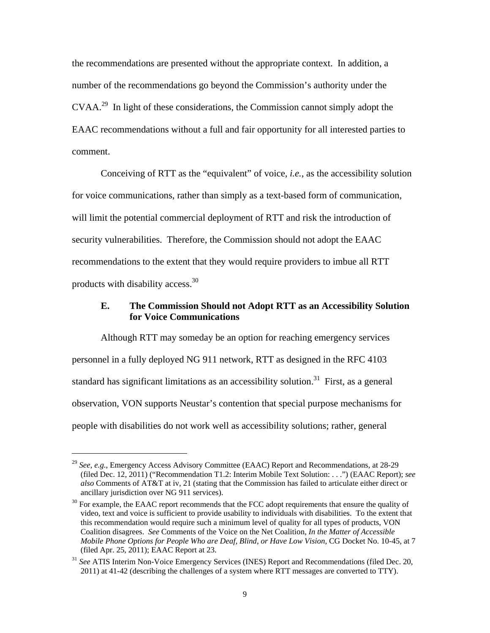the recommendations are presented without the appropriate context. In addition, a number of the recommendations go beyond the Commission's authority under the CVAA.<sup>29</sup> In light of these considerations, the Commission cannot simply adopt the EAAC recommendations without a full and fair opportunity for all interested parties to comment.

Conceiving of RTT as the "equivalent" of voice, *i.e.*, as the accessibility solution for voice communications, rather than simply as a text-based form of communication, will limit the potential commercial deployment of RTT and risk the introduction of security vulnerabilities. Therefore, the Commission should not adopt the EAAC recommendations to the extent that they would require providers to imbue all RTT products with disability access.30

#### **E. The Commission Should not Adopt RTT as an Accessibility Solution for Voice Communications**

Although RTT may someday be an option for reaching emergency services personnel in a fully deployed NG 911 network, RTT as designed in the RFC 4103 standard has significant limitations as an accessibility solution.<sup>31</sup> First, as a general observation, VON supports Neustar's contention that special purpose mechanisms for people with disabilities do not work well as accessibility solutions; rather, general

<sup>29</sup> *See, e.g.*, Emergency Access Advisory Committee (EAAC) Report and Recommendations, at 28-29 (filed Dec. 12, 2011) ("Recommendation T1.2: Interim Mobile Text Solution: . . .") (EAAC Report); *see also* Comments of AT&T at iv, 21 (stating that the Commission has failed to articulate either direct or ancillary jurisdiction over NG 911 services).

 $30$  For example, the EAAC report recommends that the FCC adopt requirements that ensure the quality of video, text and voice is sufficient to provide usability to individuals with disabilities. To the extent that this recommendation would require such a minimum level of quality for all types of products, VON Coalition disagrees. *See* Comments of the Voice on the Net Coalition, *In the Matter of Accessible Mobile Phone Options for People Who are Deaf, Blind, or Have Low Vision*, CG Docket No. 10-45, at 7 (filed Apr. 25, 2011); EAAC Report at 23.

<sup>31</sup> *See* ATIS Interim Non-Voice Emergency Services (INES) Report and Recommendations (filed Dec. 20, 2011) at 41-42 (describing the challenges of a system where RTT messages are converted to TTY).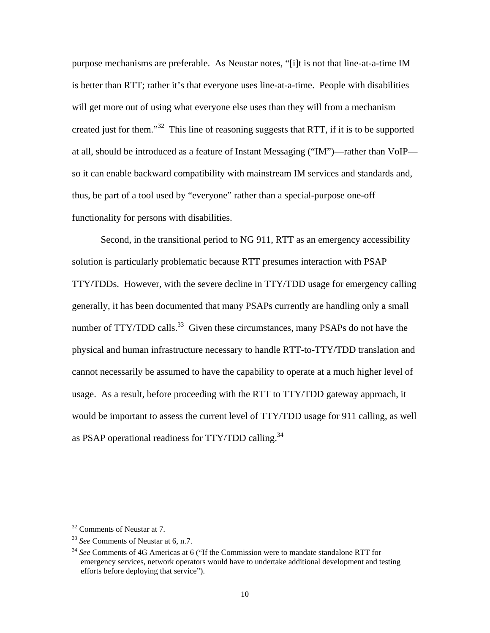purpose mechanisms are preferable. As Neustar notes, "[i]t is not that line-at-a-time IM is better than RTT; rather it's that everyone uses line-at-a-time. People with disabilities will get more out of using what everyone else uses than they will from a mechanism created just for them."32 This line of reasoning suggests that RTT, if it is to be supported at all, should be introduced as a feature of Instant Messaging ("IM")—rather than VoIP so it can enable backward compatibility with mainstream IM services and standards and, thus, be part of a tool used by "everyone" rather than a special-purpose one-off functionality for persons with disabilities.

Second, in the transitional period to NG 911, RTT as an emergency accessibility solution is particularly problematic because RTT presumes interaction with PSAP TTY/TDDs. However, with the severe decline in TTY/TDD usage for emergency calling generally, it has been documented that many PSAPs currently are handling only a small number of TTY/TDD calls.<sup>33</sup> Given these circumstances, many PSAPs do not have the physical and human infrastructure necessary to handle RTT-to-TTY/TDD translation and cannot necessarily be assumed to have the capability to operate at a much higher level of usage. As a result, before proceeding with the RTT to TTY/TDD gateway approach, it would be important to assess the current level of TTY/TDD usage for 911 calling, as well as PSAP operational readiness for TTY/TDD calling.<sup>34</sup>

<sup>32</sup> Comments of Neustar at 7.

<sup>33</sup> *See* Comments of Neustar at 6, n.7.

<sup>34</sup> *See* Comments of 4G Americas at 6 ("If the Commission were to mandate standalone RTT for emergency services, network operators would have to undertake additional development and testing efforts before deploying that service").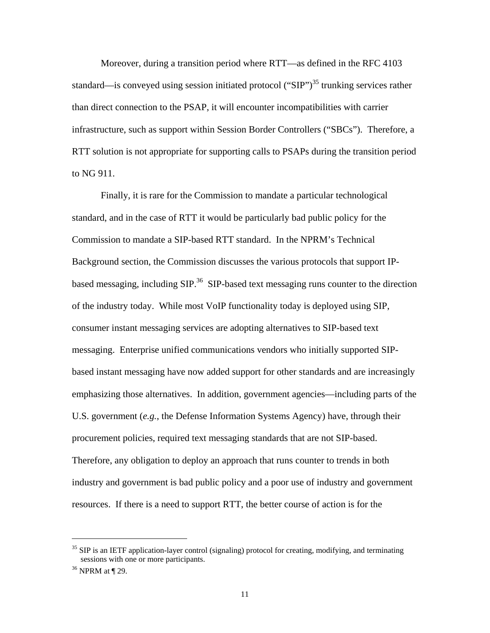Moreover, during a transition period where RTT—as defined in the RFC 4103 standard—is conveyed using session initiated protocol ("SIP")<sup>35</sup> trunking services rather than direct connection to the PSAP, it will encounter incompatibilities with carrier infrastructure, such as support within Session Border Controllers ("SBCs"). Therefore, a RTT solution is not appropriate for supporting calls to PSAPs during the transition period to NG 911.

Finally, it is rare for the Commission to mandate a particular technological standard, and in the case of RTT it would be particularly bad public policy for the Commission to mandate a SIP-based RTT standard. In the NPRM's Technical Background section, the Commission discusses the various protocols that support IPbased messaging, including SIP.<sup>36</sup> SIP-based text messaging runs counter to the direction of the industry today. While most VoIP functionality today is deployed using SIP, consumer instant messaging services are adopting alternatives to SIP-based text messaging. Enterprise unified communications vendors who initially supported SIPbased instant messaging have now added support for other standards and are increasingly emphasizing those alternatives. In addition, government agencies—including parts of the U.S. government (*e.g.*, the Defense Information Systems Agency) have, through their procurement policies, required text messaging standards that are not SIP-based. Therefore, any obligation to deploy an approach that runs counter to trends in both industry and government is bad public policy and a poor use of industry and government resources. If there is a need to support RTT, the better course of action is for the

<sup>&</sup>lt;sup>35</sup> SIP is an IETF application-layer control (signaling) protocol for creating, modifying, and terminating sessions with one or more participants.<br><sup>36</sup> NPRM at ¶ 29.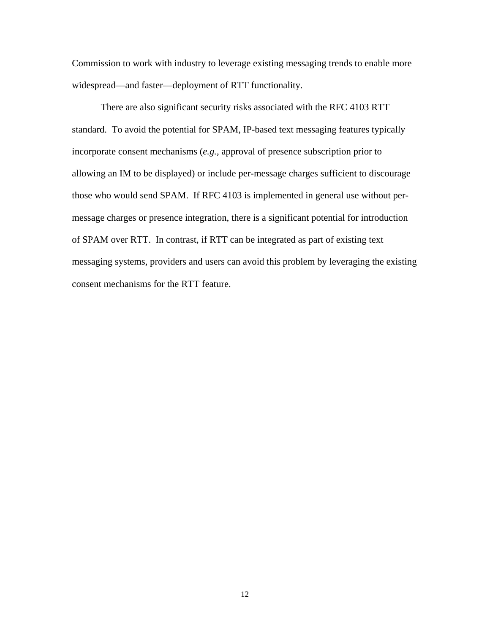Commission to work with industry to leverage existing messaging trends to enable more widespread—and faster—deployment of RTT functionality.

There are also significant security risks associated with the RFC 4103 RTT standard. To avoid the potential for SPAM, IP-based text messaging features typically incorporate consent mechanisms (*e.g.*, approval of presence subscription prior to allowing an IM to be displayed) or include per-message charges sufficient to discourage those who would send SPAM. If RFC 4103 is implemented in general use without permessage charges or presence integration, there is a significant potential for introduction of SPAM over RTT. In contrast, if RTT can be integrated as part of existing text messaging systems, providers and users can avoid this problem by leveraging the existing consent mechanisms for the RTT feature.